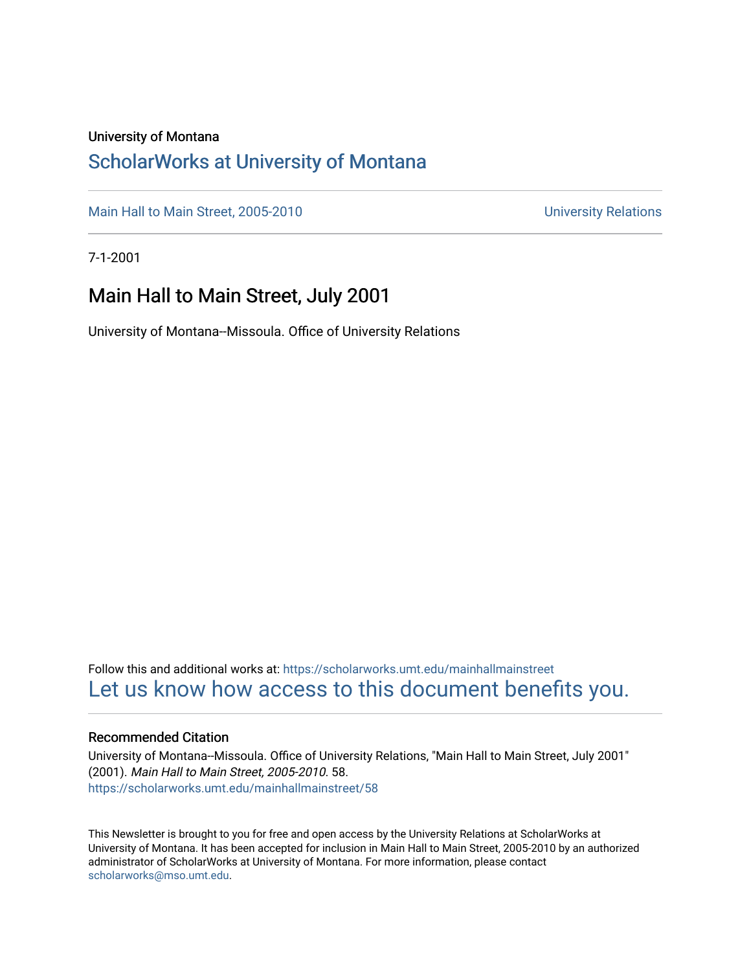### University of Montana

## [ScholarWorks at University of Montana](https://scholarworks.umt.edu/)

[Main Hall to Main Street, 2005-2010](https://scholarworks.umt.edu/mainhallmainstreet) Main Hall to Main Street, 2005-2010

7-1-2001

## Main Hall to Main Street, July 2001

University of Montana--Missoula. Office of University Relations

Follow this and additional works at: [https://scholarworks.umt.edu/mainhallmainstreet](https://scholarworks.umt.edu/mainhallmainstreet?utm_source=scholarworks.umt.edu%2Fmainhallmainstreet%2F58&utm_medium=PDF&utm_campaign=PDFCoverPages) [Let us know how access to this document benefits you.](https://goo.gl/forms/s2rGfXOLzz71qgsB2) 

#### Recommended Citation

University of Montana--Missoula. Office of University Relations, "Main Hall to Main Street, July 2001" (2001). Main Hall to Main Street, 2005-2010. 58. [https://scholarworks.umt.edu/mainhallmainstreet/58](https://scholarworks.umt.edu/mainhallmainstreet/58?utm_source=scholarworks.umt.edu%2Fmainhallmainstreet%2F58&utm_medium=PDF&utm_campaign=PDFCoverPages) 

This Newsletter is brought to you for free and open access by the University Relations at ScholarWorks at University of Montana. It has been accepted for inclusion in Main Hall to Main Street, 2005-2010 by an authorized administrator of ScholarWorks at University of Montana. For more information, please contact [scholarworks@mso.umt.edu.](mailto:scholarworks@mso.umt.edu)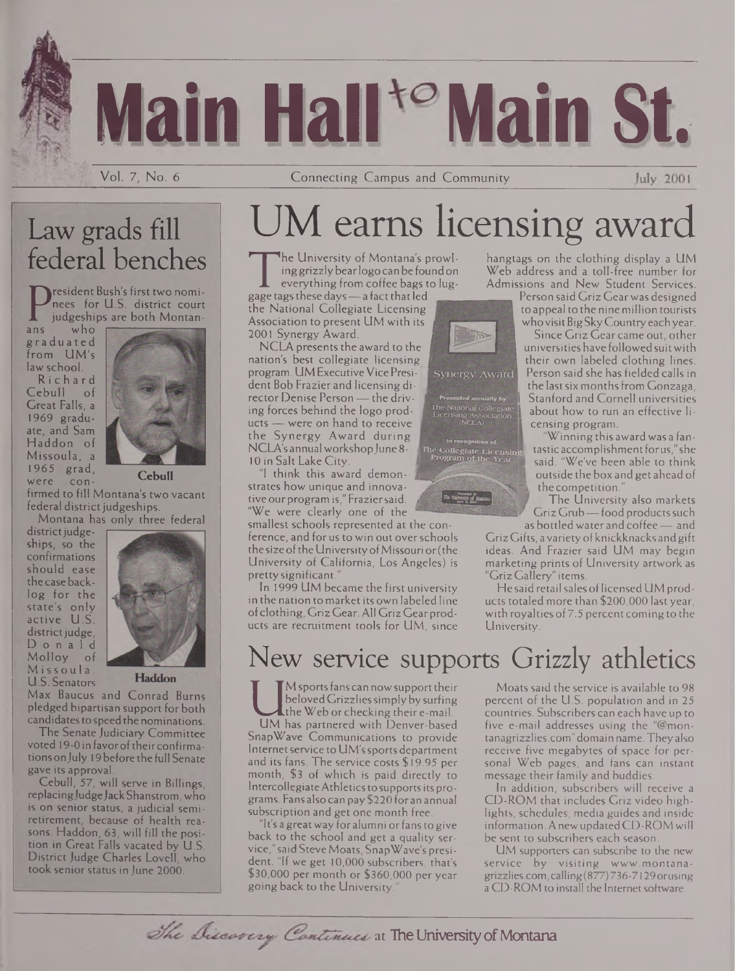# **Main Hall Main St.**

Vol. 7, No. 6 Connecting Campus and Community

## Law grads fill federal benches

resident Bush's first two nominees for U.S. district court judgeships are both Montan-

Prees ro<br>
iudgeshi<br>
graduated<br>
graduated who from UM's law school.

Richard Cebull of Great Falls, a 1969 graduate, and Sam Haddon of Missoula, a 1965 grad,<br>were concon-



**Cebull**

firmed to fill Montana's two vacant federal district judgeships.

district judgeships, so the confirmations should ease the case backlog for the state's only active U.S. district judge, Donald Molloy of Missoula. U.S. Senators



Haddon

Max Baucus and Conrad Burns pledged bipartisan support for both candidates to speed the nominations.

The Senate Judiciary Committee voted 19-0 in favor of their confirmationsonjuly 19 before the full Senate gave its approval.

Cebull, 57, will serve in Billings, replacing Judge Jack Shanstrom, who is on senior status, a judicial semiretirement, because of health reasons. Haddon, 63, will fill the position in Great Falls vacated by U.S. District Judge Charles Lovell, who took senior status in June 2000.

## UM earns licensing award.

Integrative of Montana's prowi-<br>
ing grizzly bear logo can be found on<br>
everything from coffee bags to lug-<br>
gage tags these days — a fact that led<br>
the National Collegiate Licensing he University of Montana's prowlinggrizzlybearlogo can be foundon everything from coffee bags to lug-

the National Collegiate Licensing Association to present UM with its 2001 Synergy Award.

NCLA presents the award to the nation's best collegiate licensing program. UM Executive Vice President Bob Frazier and licensing director Denise Person — the driving forces behind the logo products — were on hand to receive the Synergy Award during NCLA's annual workshop June 8-10 in Salt Lake City.

'I think this award demonstrates how unique and innovative our program is," Fraziersaid, *<sup>i</sup>* "We were clearly one of the

smallest schools represented at the conference, and for us to win out overschools the size of the University of Missouri or (the University of California, Los Angeles) is prettysignificant."

In 1999 UM became the first university in the nation to market its own labeled line ofclothing, Griz Gear. All Griz Gear products are recruitment tools for UM, since

## New service supports Grizzly athletics

beloved Grizzlies simply by surfing<br>the Web or checking their e-mail.<br>SnapWave Communications to provide M sports fans can now support their beloved Grizzlies simply by surfing the Web or checking their e-mail.

SnapWave Communications to provide Internet service to UM's sports department and its fans. The service costs \$19.95 per month, \$3 of which is paid directly to Intercollegiate Athletics to supports its programs. Fans also can pay \$220 for an annual subscription and get one month free.

'It's a great way for alumni or fans to give back to the school and get a quality service," saidSteveMoats, SnapWave's president. "If we get 10,000 subscribers, that's \$30,000 per month or \$360,000 per year going back to the University."



hangtags on the clothing display a UM Web address and a toll-free number for Admissions and New Student Services.

Person said Griz Gearwas designed to appeal to the nine million tourists who visit Big Sky Country each year.

Since Griz Gear came out, other universitieshave followed suitwith their own labeled clothing lines. Person said she has fielded calls in the last six months from Gonzaga. Stanford and Cornell universities about how to run an effective licensing program.

"Winningthis awardwas a fantastic accomplishment for us," she said. "We've been able to think outside the box and get ahead of the competition."

The University also markets Griz Grub-food products such as bottled water and coffee— and

Griz Gifts, avarietyofknickknacks andgift ideas. And Frazier said UM may begin marketing prints of University artwork as "Griz Gallery" items.

He said retail sales of licensed UM products totaled more than \$200,000 last year, with royalties of 7.5 percent coming to the University.

Moats said the service is available to 98 percent of the U.S. population and in 25 countries. Subscribers can each have up to five e-mail addresses using the "@mon<tanagrizzlies.com>" domain name. Theyalso receive five megabytes of space for personal Web pages, and fans can instant message their family and buddies.

In addition, subscribers will receive a CD-ROM that includes Griz video highlights, schedules, media guides and inside information. AnewupdatedCD-ROMwill be sent to subscribers each season.

UM supporters can subscribe to the new service by visiting [www.montana](http://www.montana-grizzlies.com)grizzlies.com, calling(877) 736-7129orusing a CD-ROM to install the Internet software.

The Discovery Continues at The University of Montana